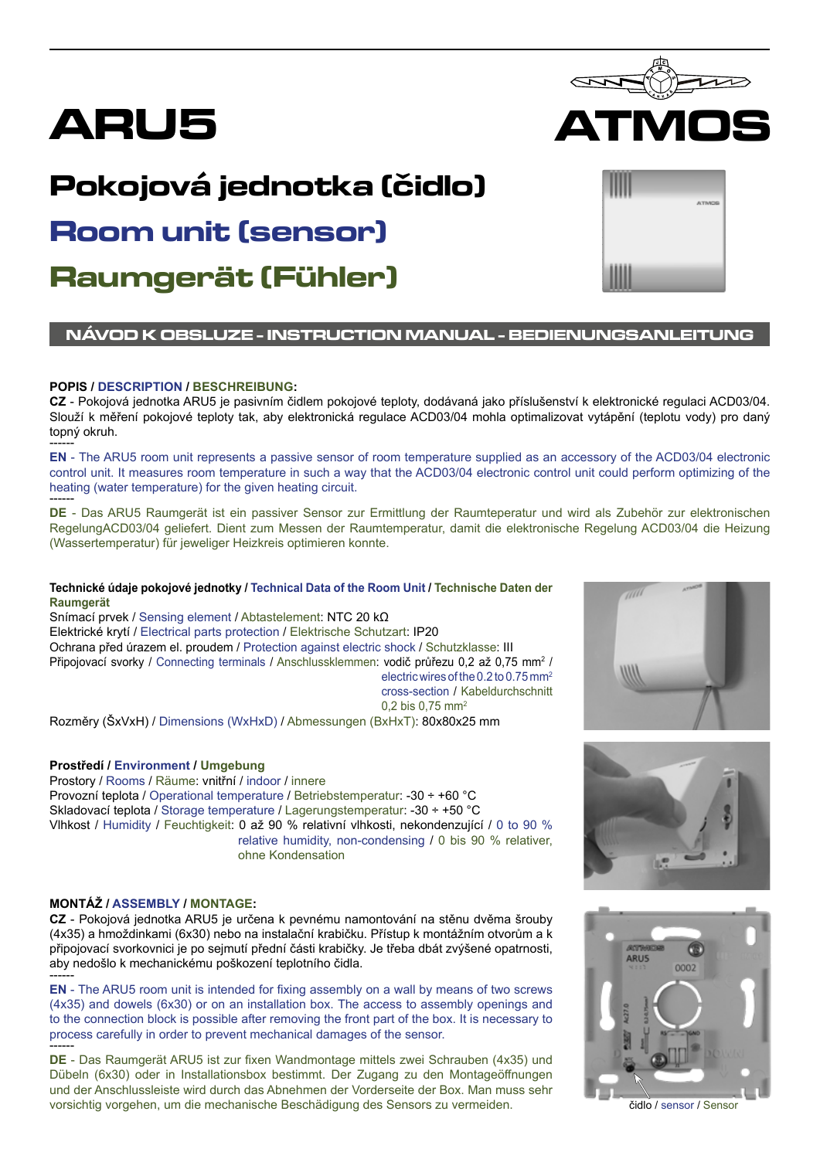

# **Pokojová jednotka (čidlo)**

# **Room unit (sensor)**

**Raumgerät (Fühler)**

# **NÁVOD K OBSLUZE - INSTRUCTION MANUAL - BEDIENUNGSANLEITUNG**

# **POPIS / DESCRIPTION / BESCHREIBUNG:**

**CZ** - Pokojová jednotka ARU5 je pasivním čidlem pokojové teploty, dodávaná jako příslušenství k elektronické regulaci ACD03/04. Slouží k měření pokojové teploty tak, aby elektronická regulace ACD03/04 mohla optimalizovat vytápění (teplotu vody) pro daný topný okruh. ------

**EN** - The ARU5 room unit represents a passive sensor of room temperature supplied as an accessory of the ACD03/04 electronic control unit. It measures room temperature in such a way that the ACD03/04 electronic control unit could perform optimizing of the heating (water temperature) for the given heating circuit. ------

**DE** - Das ARU5 Raumgerät ist ein passiver Sensor zur Ermittlung der Raumteperatur und wird als Zubehör zur elektronischen RegelungACD03/04 geliefert. Dient zum Messen der Raumtemperatur, damit die elektronische Regelung ACD03/04 die Heizung (Wassertemperatur) für jeweliger Heizkreis optimieren konnte.

#### **Technické údaje pokojové jednotky / Technical Data of the Room Unit / Technische Daten der Raumgerät**

Snímací prvek / Sensing element / Abtastelement: NTC 20 kΩ Elektrické krytí / Electrical parts protection / Elektrische Schutzart: IP20 Ochrana před úrazem el. proudem / Protection against electric shock / Schutzklasse: III Připojovací svorky / Connecting terminals / Anschlussklemmen: vodič průřezu 0,2 až 0,75 mm<sup>2</sup> / electric wires of the 0.2 to 0.75 mm2 cross-section / Kabeldurchschnitt 0,2 bis 0,75 mm2

Rozměry (ŠxVxH) / Dimensions (WxHxD) / Abmessungen (BxHxT): 80x80x25 mm

# **Prostředí / Environment / Umgebung**

Prostory / Rooms / Räume: vnitřní / indoor / innere Provozní teplota / Operational temperature / Betriebstemperatur: -30 ÷ +60 °C Skladovací teplota / Storage temperature / Lagerungstemperatur: -30 ÷ +50 °C Vlhkost / Humidity / Feuchtigkeit: 0 až 90 % relativní vlhkosti, nekondenzující / 0 to 90 % relative humidity, non-condensing / 0 bis 90 % relativer, ohne Kondensation

# **MONTÁŽ / ASSEMBLY / MONTAGE:**

**CZ** - Pokojová jednotka ARU5 je určena k pevnému namontování na stěnu dvěma šrouby (4x35) a hmoždinkami (6x30) nebo na instalační krabičku. Přístup k montážním otvorům a k připojovací svorkovnici je po sejmutí přední části krabičky. Je třeba dbát zvýšené opatrnosti, aby nedošlo k mechanickému poškození teplotního čidla. ------

**EN** - The ARU5 room unit is intended for fixing assembly on a wall by means of two screws (4x35) and dowels (6x30) or on an installation box. The access to assembly openings and to the connection block is possible after removing the front part of the box. It is necessary to process carefully in order to prevent mechanical damages of the sensor.

**DE** - Das Raumgerät ARU5 ist zur fixen Wandmontage mittels zwei Schrauben (4x35) und Dübeln (6x30) oder in Installationsbox bestimmt. Der Zugang zu den Montageöffnungen und der Anschlussleiste wird durch das Abnehmen der Vorderseite der Box. Man muss sehr vorsichtig vorgehen, um die mechanische Beschädigung des Sensors zu vermeiden. čidlo / sensor / Sensor